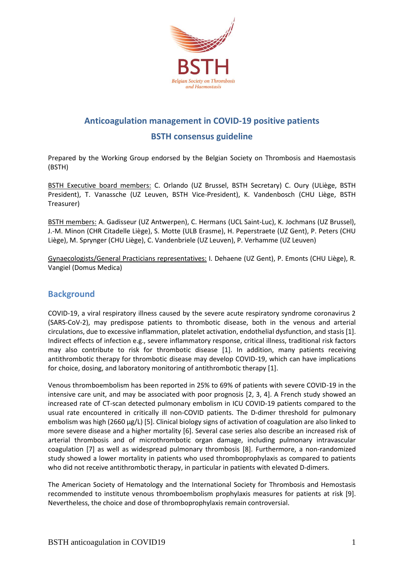

# **Anticoagulation management in COVID-19 positive patients**

# **BSTH consensus guideline**

Prepared by the Working Group endorsed by the Belgian Society on Thrombosis and Haemostasis (BSTH)

BSTH Executive board members: C. Orlando (UZ Brussel, BSTH Secretary) C. Oury (ULiège, BSTH President), T. Vanassche (UZ Leuven, BSTH Vice-President), K. Vandenbosch (CHU Liège, BSTH Treasurer)

BSTH members: A. Gadisseur (UZ Antwerpen), C. Hermans (UCL Saint-Luc), K. Jochmans (UZ Brussel), J.-M. Minon (CHR Citadelle Liège), S. Motte (ULB Erasme), H. Peperstraete (UZ Gent), P. Peters (CHU Liège), M. Sprynger (CHU Liège), C. Vandenbriele (UZ Leuven), P. Verhamme (UZ Leuven)

Gynaecologists/General Practicians representatives: I. Dehaene (UZ Gent), P. Emonts (CHU Liège), R. Vangiel (Domus Medica)

# **Background**

COVID-19, a viral respiratory illness caused by the severe acute respiratory syndrome coronavirus 2 (SARS-CoV-2), may predispose patients to thrombotic disease, both in the venous and arterial circulations, due to excessive inflammation, platelet activation, endothelial dysfunction, and stasis [1]. Indirect effects of infection e.g., severe inflammatory response, critical illness, traditional risk factors may also contribute to risk for thrombotic disease [1]. In addition, many patients receiving antithrombotic therapy for thrombotic disease may develop COVID-19, which can have implications for choice, dosing, and laboratory monitoring of antithrombotic therapy [1].

Venous thromboembolism has been reported in 25% to 69% of patients with severe COVID-19 in the intensive care unit, and may be associated with poor prognosis [2, 3, 4]. A French study showed an increased rate of CT-scan detected pulmonary embolism in ICU COVID-19 patients compared to the usual rate encountered in critically ill non-COVID patients. The D-dimer threshold for pulmonary embolism was high (2660 µg/L) [5]. Clinical biology signs of activation of coagulation are also linked to more severe disease and a higher mortality [6]. Several case series also describe an increased risk of arterial thrombosis and of microthrombotic organ damage, including pulmonary intravascular coagulation [7] as well as widespread pulmonary thrombosis [8]. Furthermore, a non-randomized study showed a lower mortality in patients who used thromboprophylaxis as compared to patients who did not receive antithrombotic therapy, in particular in patients with elevated D-dimers.

The American Society of Hematology and the International Society for Thrombosis and Hemostasis recommended to institute venous thromboembolism prophylaxis measures for patients at risk [9]. Nevertheless, the choice and dose of thromboprophylaxis remain controversial.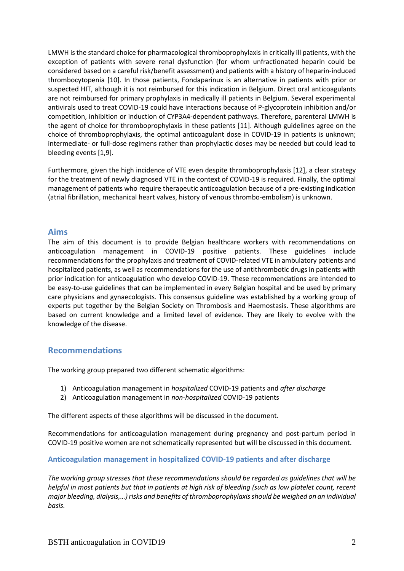LMWH is the standard choice for pharmacological thromboprophylaxis in critically ill patients, with the exception of patients with severe renal dysfunction (for whom unfractionated heparin could be considered based on a careful risk/benefit assessment) and patients with a history of heparin-induced thrombocytopenia [10]. In those patients, Fondaparinux is an alternative in patients with prior or suspected HIT, although it is not reimbursed for this indication in Belgium. Direct oral anticoagulants are not reimbursed for primary prophylaxis in medically ill patients in Belgium. Several experimental antivirals used to treat COVID-19 could have interactions because of P-glycoprotein inhibition and/or competition, inhibition or induction of CYP3A4-dependent pathways. Therefore, parenteral LMWH is the agent of choice for thromboprophylaxis in these patients [11]. Although guidelines agree on the choice of thromboprophylaxis, the optimal anticoagulant dose in COVID-19 in patients is unknown; intermediate- or full-dose regimens rather than prophylactic doses may be needed but could lead to bleeding events [1,9].

Furthermore, given the high incidence of VTE even despite thromboprophylaxis [12], a clear strategy for the treatment of newly diagnosed VTE in the context of COVID-19 is required. Finally, the optimal management of patients who require therapeutic anticoagulation because of a pre-existing indication (atrial fibrillation, mechanical heart valves, history of venous thrombo-embolism) is unknown.

# **Aims**

The aim of this document is to provide Belgian healthcare workers with recommendations on anticoagulation management in COVID-19 positive patients. These guidelines include recommendations for the prophylaxis and treatment of COVID-related VTE in ambulatory patients and hospitalized patients, as well as recommendations for the use of antithrombotic drugs in patients with prior indication for anticoagulation who develop COVID-19. These recommendations are intended to be easy-to-use guidelines that can be implemented in every Belgian hospital and be used by primary care physicians and gynaecologists. This consensus guideline was established by a working group of experts put together by the Belgian Society on Thrombosis and Haemostasis. These algorithms are based on current knowledge and a limited level of evidence. They are likely to evolve with the knowledge of the disease.

# **Recommendations**

The working group prepared two different schematic algorithms:

- 1) Anticoagulation management in *hospitalized* COVID-19 patients and *after discharge*
- 2) Anticoagulation management in *non-hospitalized* COVID-19 patients

The different aspects of these algorithms will be discussed in the document.

Recommendations for anticoagulation management during pregnancy and post-partum period in COVID-19 positive women are not schematically represented but will be discussed in this document.

**Anticoagulation management in hospitalized COVID-19 patients and after discharge**

*The working group stresses that these recommendations should be regarded as guidelines that will be helpful in most patients but that in patients at high risk of bleeding (such as low platelet count, recent major bleeding, dialysis,…) risks and benefits of thromboprophylaxis should be weighed on an individual basis.*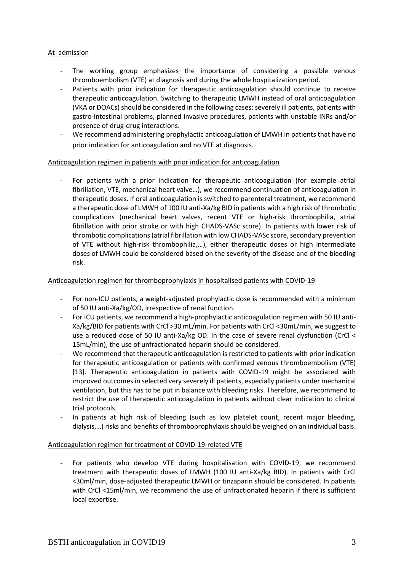# At admission

- The working group emphasizes the importance of considering a possible venous thromboembolism (VTE) at diagnosis and during the whole hospitalization period.
- Patients with prior indication for therapeutic anticoagulation should continue to receive therapeutic anticoagulation. Switching to therapeutic LMWH instead of oral anticoagulation (VKA or DOACs) should be considered in the following cases: severely ill patients, patients with gastro-intestinal problems, planned invasive procedures, patients with unstable INRs and/or presence of drug-drug interactions.
- We recommend administering prophylactic anticoagulation of LMWH in patients that have no prior indication for anticoagulation and no VTE at diagnosis.

# Anticoagulation regimen in patients with prior indication for anticoagulation

For patients with a prior indication for therapeutic anticoagulation (for example atrial fibrillation, VTE, mechanical heart valve…), we recommend continuation of anticoagulation in therapeutic doses. If oral anticoagulation is switched to parenteral treatment, we recommend a therapeutic dose of LMWH of 100 IU anti-Xa/kg BID in patients with a high risk of thrombotic complications (mechanical heart valves, recent VTE or high-risk thrombophilia, atrial fibrillation with prior stroke or with high CHADS-VASc score). In patients with lower risk of thrombotic complications (atrial fibrillation with low CHADS-VASc score, secondary prevention of VTE without high-risk thrombophilia,…), either therapeutic doses or high intermediate doses of LMWH could be considered based on the severity of the disease and of the bleeding risk.

# Anticoagulation regimen for thromboprophylaxis in hospitalised patients with COVID-19

- For non-ICU patients, a weight-adjusted prophylactic dose is recommended with a minimum of 50 IU anti-Xa/kg/OD, irrespective of renal function.
- For ICU patients, we recommend a high-prophylactic anticoagulation regimen with 50 IU anti-Xa/kg/BID for patients with CrCl >30 mL/min. For patients with CrCl <30mL/min, we suggest to use a reduced dose of 50 IU anti-Xa/kg OD. In the case of severe renal dysfunction (CrCl < 15mL/min), the use of unfractionated heparin should be considered.
- We recommend that therapeutic anticoagulation is restricted to patients with prior indication for therapeutic anticoagulation or patients with confirmed venous thromboembolism (VTE) [13]. Therapeutic anticoagulation in patients with COVID-19 might be associated with improved outcomes in selected very severely ill patients, especially patients under mechanical ventilation, but this has to be put in balance with bleeding risks. Therefore, we recommend to restrict the use of therapeutic anticoagulation in patients without clear indication to clinical trial protocols.
- In patients at high risk of bleeding (such as low platelet count, recent major bleeding, dialysis,…) risks and benefits of thromboprophylaxis should be weighed on an individual basis.

# Anticoagulation regimen for treatment of COVID-19-related VTE

For patients who develop VTE during hospitalisation with COVID-19, we recommend treatment with therapeutic doses of LMWH (100 IU anti-Xa/kg BID). In patients with CrCl <30ml/min, dose-adjusted therapeutic LMWH or tinzaparin should be considered. In patients with CrCl <15ml/min, we recommend the use of unfractionated heparin if there is sufficient local expertise.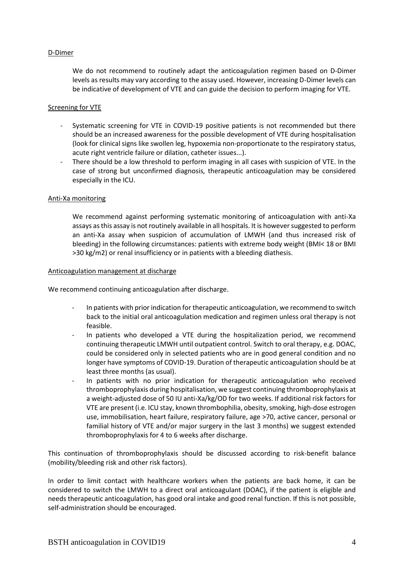### D-Dimer

We do not recommend to routinely adapt the anticoagulation regimen based on D-Dimer levels as results may vary according to the assay used. However, increasing D-Dimer levels can be indicative of development of VTE and can guide the decision to perform imaging for VTE.

#### Screening for VTE

- Systematic screening for VTE in COVID-19 positive patients is not recommended but there should be an increased awareness for the possible development of VTE during hospitalisation (look for clinical signs like swollen leg, hypoxemia non-proportionate to the respiratory status, acute right ventricle failure or dilation, catheter issues...).
- There should be a low threshold to perform imaging in all cases with suspicion of VTE. In the case of strong but unconfirmed diagnosis, therapeutic anticoagulation may be considered especially in the ICU.

#### Anti-Xa monitoring

We recommend against performing systematic monitoring of anticoagulation with anti-Xa assays as this assay is not routinely available in all hospitals. It is however suggested to perform an anti-Xa assay when suspicion of accumulation of LMWH (and thus increased risk of bleeding) in the following circumstances: patients with extreme body weight (BMI< 18 or BMI >30 kg/m2) or renal insufficiency or in patients with a bleeding diathesis.

#### Anticoagulation management at discharge

We recommend continuing anticoagulation after discharge.

- In patients with prior indication for therapeutic anticoagulation, we recommend to switch back to the initial oral anticoagulation medication and regimen unless oral therapy is not feasible.
- In patients who developed a VTE during the hospitalization period, we recommend continuing therapeutic LMWH until outpatient control. Switch to oral therapy, e.g. DOAC, could be considered only in selected patients who are in good general condition and no longer have symptoms of COVID-19. Duration of therapeutic anticoagulation should be at least three months (as usual).
- In patients with no prior indication for therapeutic anticoagulation who received thromboprophylaxis during hospitalisation, we suggest continuing thromboprophylaxis at a weight-adjusted dose of 50 IU anti-Xa/kg/OD for two weeks. If additional risk factors for VTE are present (i.e. ICU stay, known thrombophilia, obesity, smoking, high-dose estrogen use, immobilisation, heart failure, respiratory failure, age >70, active cancer, personal or familial history of VTE and/or major surgery in the last 3 months) we suggest extended thromboprophylaxis for 4 to 6 weeks after discharge.

This continuation of thromboprophylaxis should be discussed according to risk-benefit balance (mobility/bleeding risk and other risk factors).

In order to limit contact with healthcare workers when the patients are back home, it can be considered to switch the LMWH to a direct oral anticoagulant (DOAC), if the patient is eligible and needs therapeutic anticoagulation, has good oral intake and good renal function. If this is not possible, self-administration should be encouraged.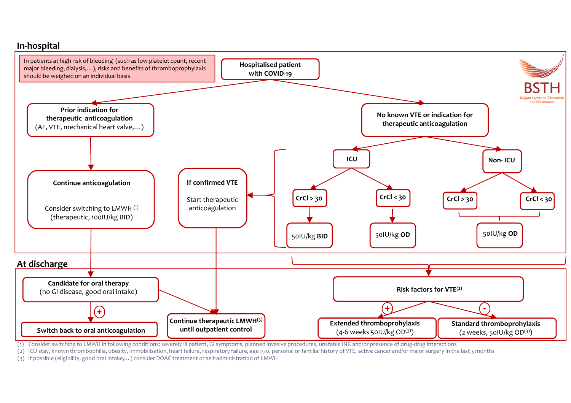

(1) Consider switching to LMWH in following conditions: severely ill patient, GI symptoms, planned invasive procedures, unstable INR and/or presence of drug-drug interactions

(2) ICU stay, known thrombophilia, obesity, immobilisation, heart failure, respiratory failure, age >70, personal or familial history of VTE, active cancer and/or major surgery in the last 3 months

(3) If possible (eligibility, good oral intake,…) consider DOAC treatment or self-administration of LMWH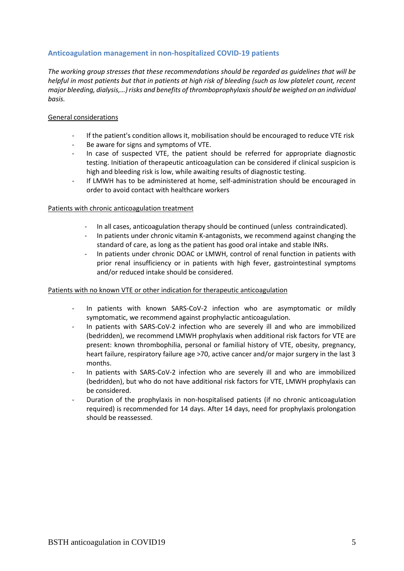# **Anticoagulation management in non-hospitalized COVID-19 patients**

*The working group stresses that these recommendations should be regarded as guidelines that will be helpful in most patients but that in patients at high risk of bleeding (such as low platelet count, recent major bleeding, dialysis,…) risks and benefits of thromboprophylaxis should be weighed on an individual basis.* 

### General considerations

- If the patient's condition allows it, mobilisation should be encouraged to reduce VTE risk
- Be aware for signs and symptoms of VTE.
- In case of suspected VTE, the patient should be referred for appropriate diagnostic testing. Initiation of therapeutic anticoagulation can be considered if clinical suspicion is high and bleeding risk is low, while awaiting results of diagnostic testing.
- If LMWH has to be administered at home, self-administration should be encouraged in order to avoid contact with healthcare workers

#### Patients with chronic anticoagulation treatment

- In all cases, anticoagulation therapy should be continued (unless contraindicated).
- In patients under chronic vitamin K-antagonists, we recommend against changing the standard of care, as long as the patient has good oral intake and stable INRs.
- In patients under chronic DOAC or LMWH, control of renal function in patients with prior renal insufficiency or in patients with high fever, gastrointestinal symptoms and/or reduced intake should be considered.

#### Patients with no known VTE or other indication for therapeutic anticoagulation

- In patients with known SARS-CoV-2 infection who are asymptomatic or mildly symptomatic, we recommend against prophylactic anticoagulation.
- In patients with SARS-CoV-2 infection who are severely ill and who are immobilized (bedridden), we recommend LMWH prophylaxis when additional risk factors for VTE are present: known thrombophilia, personal or familial history of VTE, obesity, pregnancy, heart failure, respiratory failure age >70, active cancer and/or major surgery in the last 3 months.
- In patients with SARS-CoV-2 infection who are severely ill and who are immobilized (bedridden), but who do not have additional risk factors for VTE, LMWH prophylaxis can be considered.
- Duration of the prophylaxis in non-hospitalised patients (if no chronic anticoagulation required) is recommended for 14 days. After 14 days, need for prophylaxis prolongation should be reassessed.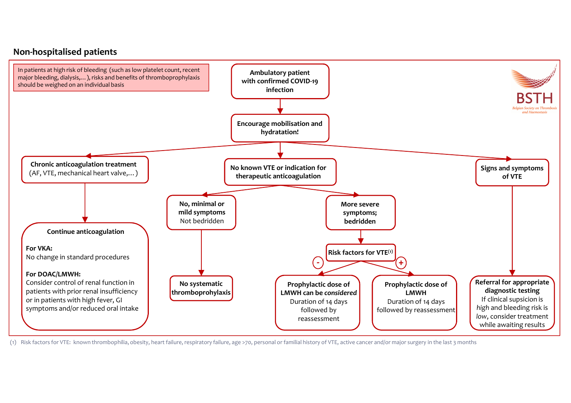# **Non-hospitalised patients**



(1) Risk factors for VTE: known thrombophilia, obesity, heart failure, respiratory failure, age >70, personal or familial history of VTE, active cancer and/or major surgery in the last 3 months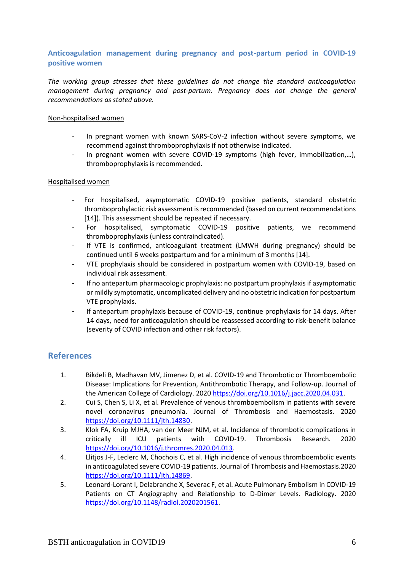# **Anticoagulation management during pregnancy and post-partum period in COVID-19 positive women**

*The working group stresses that these guidelines do not change the standard anticoagulation management during pregnancy and post-partum. Pregnancy does not change the general recommendations as stated above.*

#### Non-hospitalised women

- In pregnant women with known SARS-CoV-2 infection without severe symptoms, we recommend against thromboprophylaxis if not otherwise indicated.
- In pregnant women with severe COVID-19 symptoms (high fever, immobilization,...), thromboprophylaxis is recommended.

### Hospitalised women

- For hospitalised, asymptomatic COVID-19 positive patients, standard obstetric thromboprohylactic risk assessment is recommended (based on current recommendations [14]). This assessment should be repeated if necessary.
- For hospitalised, symptomatic COVID-19 positive patients, we recommend thromboprophylaxis (unless contraindicated).
- If VTE is confirmed, anticoagulant treatment (LMWH during pregnancy) should be continued until 6 weeks postpartum and for a minimum of 3 months [14].
- VTE prophylaxis should be considered in postpartum women with COVID-19, based on individual risk assessment.
- If no antepartum pharmacologic prophylaxis: no postpartum prophylaxis if asymptomatic or mildly symptomatic, uncomplicated delivery and no obstetric indication for postpartum VTE prophylaxis.
- If antepartum prophylaxis because of COVID-19, continue prophylaxis for 14 days. After 14 days, need for anticoagulation should be reassessed according to risk-benefit balance (severity of COVID infection and other risk factors).

# **References**

- 1. Bikdeli B, Madhavan MV, Jimenez D, et al. COVID-19 and Thrombotic or Thromboembolic Disease: Implications for Prevention, Antithrombotic Therapy, and Follow-up. Journal of the American College of Cardiology. 202[0 https://doi.org/10.1016/j.jacc.2020.04.031.](https://doi.org/10.1016/j.jacc.2020.04.031)
- 2. Cui S, Chen S, Li X, et al. Prevalence of venous thromboembolism in patients with severe novel coronavirus pneumonia. Journal of Thrombosis and Haemostasis. 2020 [https://doi.org/10.1111/jth.14830.](https://doi.org/10.1111/jth.14830)
- 3. Klok FA, Kruip MJHA, van der Meer NJM, et al. Incidence of thrombotic complications in critically ill ICU patients with COVID-19. Thrombosis Research. 2020 [https://doi.org/10.1016/j.thromres.2020.04.013.](https://doi.org/10.1016/j.thromres.2020.04.013)
- 4. Llitjos J-F, Leclerc M, Chochois C, et al. High incidence of venous thromboembolic events in anticoagulated severe COVID-19 patients. Journal of Thrombosis and Haemostasis.2020 [https://doi.org/10.1111/jth.14869.](https://doi.org/10.1111/jth.14869)
- 5. Leonard-Lorant I, Delabranche X, Severac F, et al. Acute Pulmonary Embolism in COVID-19 Patients on CT Angiography and Relationship to D-Dimer Levels. Radiology. 2020 [https://doi.org/10.1148/radiol.2020201561.](https://doi.org/10.1148/radiol.2020201561)